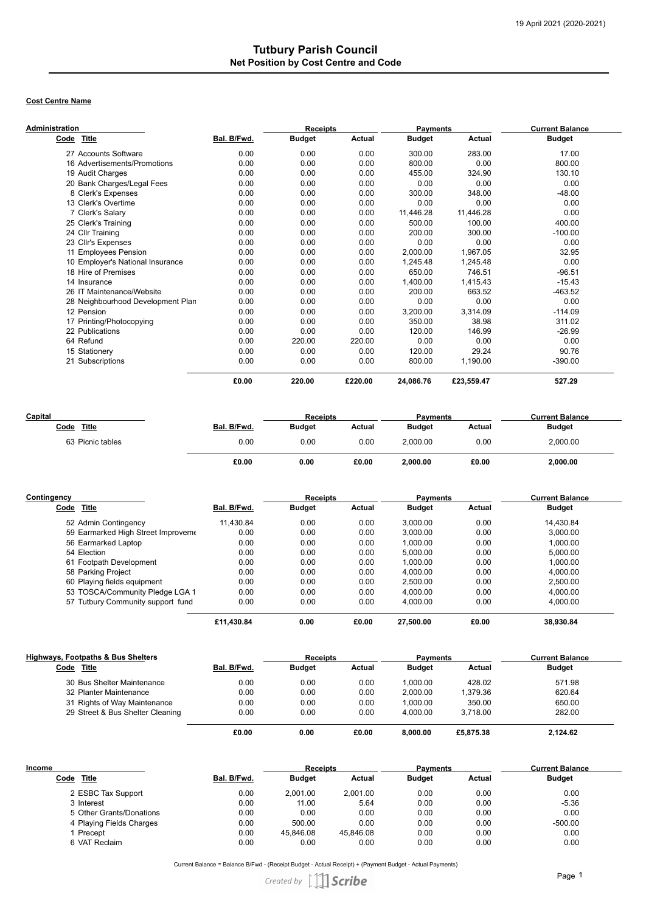## **Cost Centre Name**

| Administration                    |             | <b>Receipts</b> |         | <b>Payments</b> |            | <b>Current Balance</b> |
|-----------------------------------|-------------|-----------------|---------|-----------------|------------|------------------------|
| Title<br>Code                     | Bal. B/Fwd. | <b>Budget</b>   | Actual  | <b>Budget</b>   | Actual     | <b>Budget</b>          |
| 27 Accounts Software              | 0.00        | 0.00            | 0.00    | 300.00          | 283.00     | 17.00                  |
| 16 Advertisements/Promotions      | 0.00        | 0.00            | 0.00    | 800.00          | 0.00       | 800.00                 |
| 19 Audit Charges                  | 0.00        | 0.00            | 0.00    | 455.00          | 324.90     | 130.10                 |
| 20 Bank Charges/Legal Fees        | 0.00        | 0.00            | 0.00    | 0.00            | 0.00       | 0.00                   |
| 8 Clerk's Expenses                | 0.00        | 0.00            | 0.00    | 300.00          | 348.00     | $-48.00$               |
| 13 Clerk's Overtime               | 0.00        | 0.00            | 0.00    | 0.00            | 0.00       | 0.00                   |
| 7 Clerk's Salary                  | 0.00        | 0.00            | 0.00    | 11,446.28       | 11,446.28  | 0.00                   |
| 25 Clerk's Training               | 0.00        | 0.00            | 0.00    | 500.00          | 100.00     | 400.00                 |
| 24 Cllr Training                  | 0.00        | 0.00            | 0.00    | 200.00          | 300.00     | $-100.00$              |
| 23 Cllr's Expenses                | 0.00        | 0.00            | 0.00    | 0.00            | 0.00       | 0.00                   |
| 11 Employees Pension              | 0.00        | 0.00            | 0.00    | 2,000.00        | 1,967.05   | 32.95                  |
| 10 Employer's National Insurance  | 0.00        | 0.00            | 0.00    | 1,245.48        | 1,245.48   | 0.00                   |
| 18 Hire of Premises               | 0.00        | 0.00            | 0.00    | 650.00          | 746.51     | $-96.51$               |
| 14 Insurance                      | 0.00        | 0.00            | 0.00    | 1,400.00        | 1,415.43   | $-15.43$               |
| 26 IT Maintenance/Website         | 0.00        | 0.00            | 0.00    | 200.00          | 663.52     | $-463.52$              |
| 28 Neighbourhood Development Plan | 0.00        | 0.00            | 0.00    | 0.00            | 0.00       | 0.00                   |
| 12 Pension                        | 0.00        | 0.00            | 0.00    | 3,200.00        | 3,314.09   | $-114.09$              |
| 17 Printing/Photocopying          | 0.00        | 0.00            | 0.00    | 350.00          | 38.98      | 311.02                 |
| 22 Publications                   | 0.00        | 0.00            | 0.00    | 120.00          | 146.99     | $-26.99$               |
| 64 Refund                         | 0.00        | 220.00          | 220.00  | 0.00            | 0.00       | 0.00                   |
| 15 Stationery                     | 0.00        | 0.00            | 0.00    | 120.00          | 29.24      | 90.76                  |
| 21 Subscriptions                  | 0.00        | 0.00            | 0.00    | 800.00          | 1,190.00   | $-390.00$              |
|                                   | £0.00       | 220.00          | £220.00 | 24,086.76       | £23,559.47 | 527.29                 |

| Capital          |             | <b>Receipts</b> |        | <b>Payments</b> |        | <b>Current Balance</b> |
|------------------|-------------|-----------------|--------|-----------------|--------|------------------------|
| Title<br>Code    | Bal. B/Fwd. | <b>Budget</b>   | Actual | <b>Budget</b>   | Actual | <b>Budget</b>          |
| 63 Picnic tables | 0.00        | 0.00            | 0.00   | 2.000.00        | 0.00   | 2,000.00               |
|                  | £0.00       | 0.00            | £0.00  | 2,000.00        | £0.00  | 2.000.00               |

| Contingency |                                    |             | <b>Receipts</b> |               | <b>Payments</b> |               | <b>Current Balance</b> |
|-------------|------------------------------------|-------------|-----------------|---------------|-----------------|---------------|------------------------|
| Code Title  |                                    | Bal. B/Fwd. | <b>Budget</b>   | <b>Actual</b> | <b>Budget</b>   | <b>Actual</b> | <b>Budget</b>          |
|             | 52 Admin Contingency               | 11.430.84   | 0.00            | 0.00          | 3.000.00        | 0.00          | 14,430.84              |
|             | 59 Earmarked High Street Improveme | 0.00        | 0.00            | 0.00          | 3.000.00        | 0.00          | 3.000.00               |
|             | 56 Earmarked Laptop                | 0.00        | 0.00            | 0.00          | 1.000.00        | 0.00          | 1,000.00               |
| 54 Election |                                    | 0.00        | 0.00            | 0.00          | 5.000.00        | 0.00          | 5.000.00               |
|             | 61 Footpath Development            | 0.00        | 0.00            | 0.00          | 1.000.00        | 0.00          | 1.000.00               |
|             | 58 Parking Project                 | 0.00        | 0.00            | 0.00          | 4.000.00        | 0.00          | 4.000.00               |
|             | 60 Playing fields equipment        | 0.00        | 0.00            | 0.00          | 2.500.00        | 0.00          | 2.500.00               |
|             | 53 TOSCA/Community Pledge LGA 1    | 0.00        | 0.00            | 0.00          | 4.000.00        | 0.00          | 4,000.00               |
|             | 57 Tutbury Community support fund  | 0.00        | 0.00            | 0.00          | 4.000.00        | 0.00          | 4.000.00               |
|             |                                    | £11.430.84  | 0.00            | £0.00         | 27.500.00       | £0.00         | 38.930.84              |

| Highways, Footpaths & Bus Shelters |             | <b>Receipts</b> |        | <b>Payments</b> |               | <b>Current Balance</b> |
|------------------------------------|-------------|-----------------|--------|-----------------|---------------|------------------------|
| Code<br>Title                      | Bal. B/Fwd. | <b>Budget</b>   | Actual | <b>Budget</b>   | <b>Actual</b> | <b>Budget</b>          |
| 30 Bus Shelter Maintenance         | 0.00        | 0.00            | 0.00   | 1.000.00        | 428.02        | 571.98                 |
| 32 Planter Maintenance             | 0.00        | 0.00            | 0.00   | 2.000.00        | 1.379.36      | 620.64                 |
| 31 Rights of Way Maintenance       | 0.00        | 0.00            | 0.00   | 1.000.00        | 350.00        | 650.00                 |
| 29 Street & Bus Shelter Cleaning   | 0.00        | 0.00            | 0.00   | 4.000.00        | 3.718.00      | 282.00                 |
|                                    | £0.00       | 0.00            | £0.00  | 8.000.00        | £5,875,38     | 2,124.62               |

| Income                   |             | <b>Receipts</b> |           | <b>Payments</b> |        | <b>Current Balance</b> |
|--------------------------|-------------|-----------------|-----------|-----------------|--------|------------------------|
| <b>Title</b><br>Code     | Bal. B/Fwd. | <b>Budget</b>   | Actual    | <b>Budget</b>   | Actual | <b>Budget</b>          |
| 2 ESBC Tax Support       | 0.00        | 2.001.00        | 2.001.00  | 0.00            | 0.00   | 0.00                   |
| 3 Interest               | 0.00        | 11.00           | 5.64      | 0.00            | 0.00   | $-5.36$                |
| 5 Other Grants/Donations | 0.00        | 0.00            | 0.00      | 0.00            | 0.00   | 0.00                   |
| 4 Playing Fields Charges | 0.00        | 500.00          | 0.00      | 0.00            | 0.00   | $-500.00$              |
| I Precept                | 0.00        | 45.846.08       | 45.846.08 | 0.00            | 0.00   | 0.00                   |
| 6 VAT Reclaim            | 0.00        | 0.00            | 0.00      | 0.00            | 0.00   | 0.00                   |

Current Balance = Balance B/Fwd - (Receipt Budget - Actual Receipt) + (Payment Budget - Actual Payments)